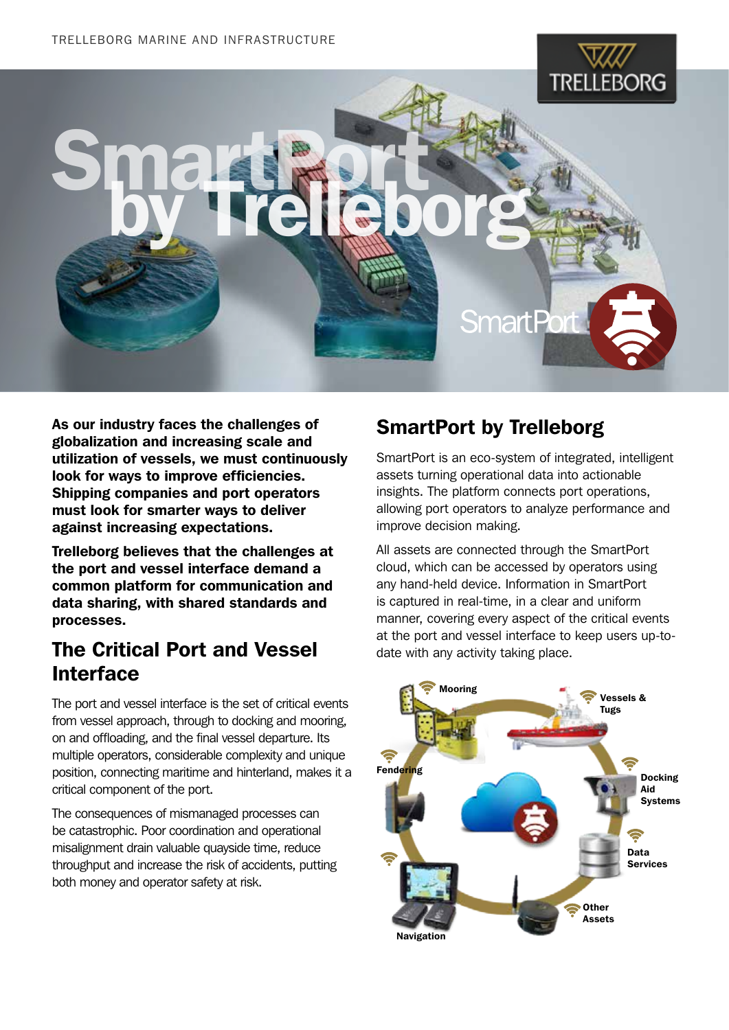Smart British

# Trelleborg

As our industry faces the challenges of globalization and increasing scale and utilization of vessels, we must continuously look for ways to improve efficiencies. Shipping companies and port operators must look for smarter ways to deliver against increasing expectations.

Trelleborg believes that the challenges at the port and vessel interface demand a common platform for communication and data sharing, with shared standards and processes.

## The Critical Port and Vessel Interface

The port and vessel interface is the set of critical events from vessel approach, through to docking and mooring, on and offloading, and the final vessel departure. Its multiple operators, considerable complexity and unique position, connecting maritime and hinterland, makes it a critical component of the port.

The consequences of mismanaged processes can be catastrophic. Poor coordination and operational misalignment drain valuable quayside time, reduce throughput and increase the risk of accidents, putting both money and operator safety at risk.

## SmartPort by Trelleborg

SmartPort is an eco-system of integrated, intelligent assets turning operational data into actionable insights. The platform connects port operations, allowing port operators to analyze performance and improve decision making.

**SmartPort** 

All assets are connected through the SmartPort cloud, which can be accessed by operators using any hand-held device. Information in SmartPort is captured in real-time, in a clear and uniform manner, covering every aspect of the critical events at the port and vessel interface to keep users up-todate with any activity taking place.